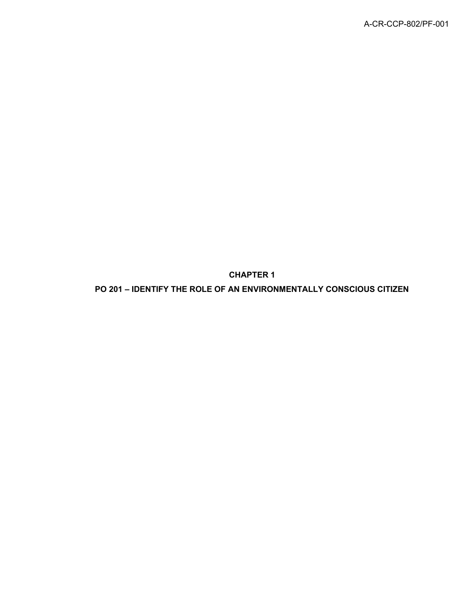CHAPTER 1

PO 201 – IDENTIFY THE ROLE OF AN ENVIRONMENTALLY CONSCIOUS CITIZEN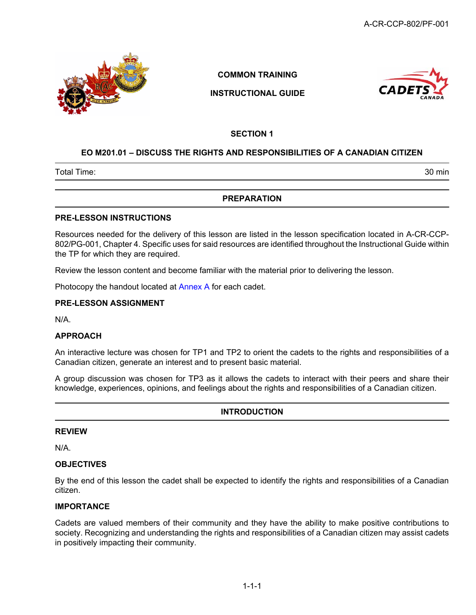

COMMON TRAINING

INSTRUCTIONAL GUIDE



## SECTION 1

# EO M201.01 – DISCUSS THE RIGHTS AND RESPONSIBILITIES OF A CANADIAN CITIZEN

Total Time: 30 min

## PREPARATION

#### PRE-LESSON INSTRUCTIONS

Resources needed for the delivery of this lesson are listed in the lesson specification located in A-CR-CCP-802/PG-001, Chapter 4. Specific uses for said resources are identified throughout the Instructional Guide within the TP for which they are required.

Review the lesson content and become familiar with the material prior to delivering the lesson.

Photocopy the handout located at Annex A for each cadet.

#### PRE-LESSON ASSIGNMENT

N/A.

#### APPROACH

An interactive lecture was chosen for TP1 and TP2 to orient the cadets to the rights and responsibilities of a Canadian citizen, generate an interest and to present basic material.

A group discussion was chosen for TP3 as it allows the cadets to interact with their peers and share their knowledge, experiences, opinions, and feelings about the rights and responsibilities of a Canadian citizen.

# INTRODUCTION

#### REVIEW

N/A.

# **OBJECTIVES**

By the end of this lesson the cadet shall be expected to identify the rights and responsibilities of a Canadian citizen.

#### **IMPORTANCE**

Cadets are valued members of their community and they have the ability to make positive contributions to society. Recognizing and understanding the rights and responsibilities of a Canadian citizen may assist cadets in positively impacting their community.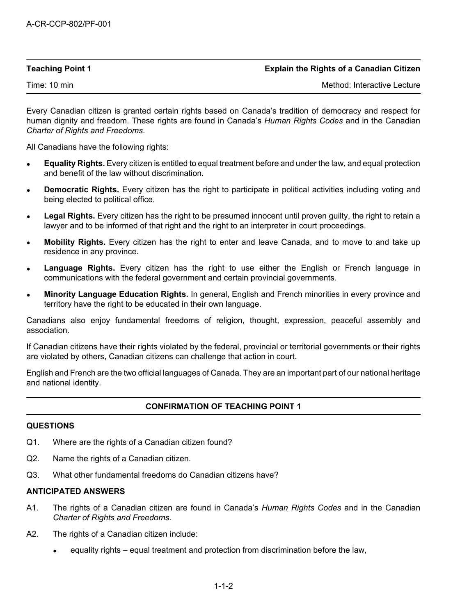# Teaching Point 1 **Explain the Rights of a Canadian Citizen** Explain the Rights of a Canadian Citizen

Time: 10 min Method: Interactive Lecture Communication of the Method: Interactive Lecture

Every Canadian citizen is granted certain rights based on Canada's tradition of democracy and respect for human dignity and freedom. These rights are found in Canada's Human Rights Codes and in the Canadian Charter of Rights and Freedoms.

All Canadians have the following rights:

- Equality Rights. Every citizen is entitled to equal treatment before and under the law, and equal protection and benefit of the law without discrimination.
- **Democratic Rights.** Every citizen has the right to participate in political activities including voting and being elected to political office.
- Legal Rights. Every citizen has the right to be presumed innocent until proven guilty, the right to retain a  $\bullet$ lawyer and to be informed of that right and the right to an interpreter in court proceedings.
- Mobility Rights. Every citizen has the right to enter and leave Canada, and to move to and take up residence in any province.
- Language Rights. Every citizen has the right to use either the English or French language in communications with the federal government and certain provincial governments.
- Minority Language Education Rights. In general, English and French minorities in every province and territory have the right to be educated in their own language.

Canadians also enjoy fundamental freedoms of religion, thought, expression, peaceful assembly and association.

If Canadian citizens have their rights violated by the federal, provincial or territorial governments or their rights are violated by others, Canadian citizens can challenge that action in court.

English and French are the two official languages of Canada. They are an important part of our national heritage and national identity.

# CONFIRMATION OF TEACHING POINT 1

# QUESTIONS

- Q1. Where are the rights of a Canadian citizen found?
- Q2. Name the rights of a Canadian citizen.
- Q3. What other fundamental freedoms do Canadian citizens have?

### ANTICIPATED ANSWERS

- A1. The rights of a Canadian citizen are found in Canada's Human Rights Codes and in the Canadian Charter of Rights and Freedoms.
- A2. The rights of a Canadian citizen include:
	- equality rights equal treatment and protection from discrimination before the law,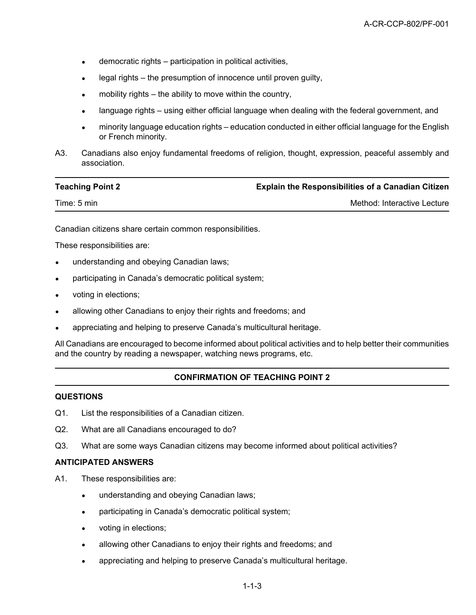- democratic rights participation in political activities,  $\bullet$
- legal rights the presumption of innocence until proven guilty,  $\bullet$
- mobility rights the ability to move within the country,  $\bullet$
- language rights using either official language when dealing with the federal government, and  $\bullet$
- minority language education rights education conducted in either official language for the English  $\bullet$ or French minority.
- A3. Canadians also enjoy fundamental freedoms of religion, thought, expression, peaceful assembly and association.

| <b>Teaching Point 2</b> | <b>Explain the Responsibilities of a Canadian Citizen</b> |
|-------------------------|-----------------------------------------------------------|
| Time: 5 min             | Method: Interactive Lecture                               |

Canadian citizens share certain common responsibilities.

These responsibilities are:

- understanding and obeying Canadian laws;
- participating in Canada's democratic political system;
- voting in elections;
- allowing other Canadians to enjoy their rights and freedoms; and
- appreciating and helping to preserve Canada's multicultural heritage.

All Canadians are encouraged to become informed about political activities and to help better their communities and the country by reading a newspaper, watching news programs, etc.

#### CONFIRMATION OF TEACHING POINT 2

# **QUESTIONS**

- Q1. List the responsibilities of a Canadian citizen.
- Q2. What are all Canadians encouraged to do?
- Q3. What are some ways Canadian citizens may become informed about political activities?

## ANTICIPATED ANSWERS

- A1. These responsibilities are:
	- understanding and obeying Canadian laws;  $\bullet$
	- participating in Canada's democratic political system;  $\bullet$
	- voting in elections;  $\bullet$
	- allowing other Canadians to enjoy their rights and freedoms; and  $\bullet$
	- appreciating and helping to preserve Canada's multicultural heritage.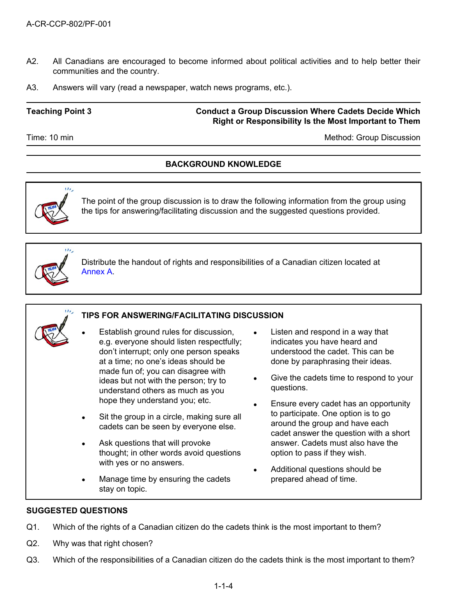- A2. All Canadians are encouraged to become informed about political activities and to help better their communities and the country.
- A3. Answers will vary (read a newspaper, watch news programs, etc.).

# Teaching Point 3 Conduct a Group Discussion Where Cadets Decide Which Right or Responsibility Is the Most Important to Them

Time: 10 min Method: Group Discussion Method: Group Discussion

# BACKGROUND KNOWLEDGE



The point of the group discussion is to draw the following information from the group using the tips for answering/facilitating discussion and the suggested questions provided.



Distribute the handout of rights and responsibilities of a Canadian citizen located at Annex A.

# TIPS FOR ANSWERING/FACILITATING DISCUSSION

- Establish ground rules for discussion, e.g. everyone should listen respectfully; don't interrupt; only one person speaks at a time; no one's ideas should be made fun of; you can disagree with ideas but not with the person; try to understand others as much as you hope they understand you; etc.
- Sit the group in a circle, making sure all cadets can be seen by everyone else.
- Ask questions that will provoke thought; in other words avoid questions with yes or no answers.
- Manage time by ensuring the cadets stay on topic.
- $\bullet$ Listen and respond in a way that indicates you have heard and understood the cadet. This can be done by paraphrasing their ideas.
- Give the cadets time to respond to your questions.
- Ensure every cadet has an opportunity to participate. One option is to go around the group and have each cadet answer the question with a short answer. Cadets must also have the option to pass if they wish.
- Additional questions should be prepared ahead of time.

# SUGGESTED QUESTIONS

- Q1. Which of the rights of a Canadian citizen do the cadets think is the most important to them?
- Q2. Why was that right chosen?
- Q3. Which of the responsibilities of a Canadian citizen do the cadets think is the most important to them?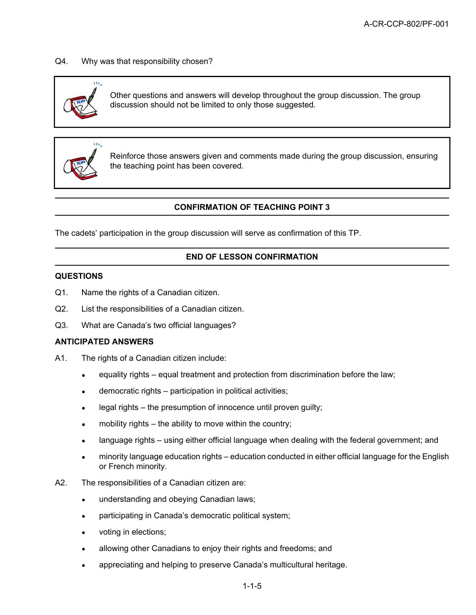Q4. Why was that responsibility chosen?



Other questions and answers will develop throughout the group discussion. The group discussion should not be limited to only those suggested.



Reinforce those answers given and comments made during the group discussion, ensuring the teaching point has been covered.

# CONFIRMATION OF TEACHING POINT 3

The cadets' participation in the group discussion will serve as confirmation of this TP.

# END OF LESSON CONFIRMATION

## QUESTIONS

- Q1. Name the rights of a Canadian citizen.
- Q2. List the responsibilities of a Canadian citizen.
- Q3. What are Canada's two official languages?

# ANTICIPATED ANSWERS

- A1. The rights of a Canadian citizen include:
	- equality rights equal treatment and protection from discrimination before the law;  $\bullet$
	- democratic rights participation in political activities;  $\bullet$
	- legal rights the presumption of innocence until proven guilty;  $\bullet$
	- mobility rights the ability to move within the country;  $\bullet$
	- language rights using either official language when dealing with the federal government; and
	- minority language education rights education conducted in either official language for the English or French minority.
- A2. The responsibilities of a Canadian citizen are:
	- understanding and obeying Canadian laws;  $\bullet$
	- participating in Canada's democratic political system;  $\bullet$
	- voting in elections;  $\bullet$
	- allowing other Canadians to enjoy their rights and freedoms; and  $\bullet$
	- appreciating and helping to preserve Canada's multicultural heritage.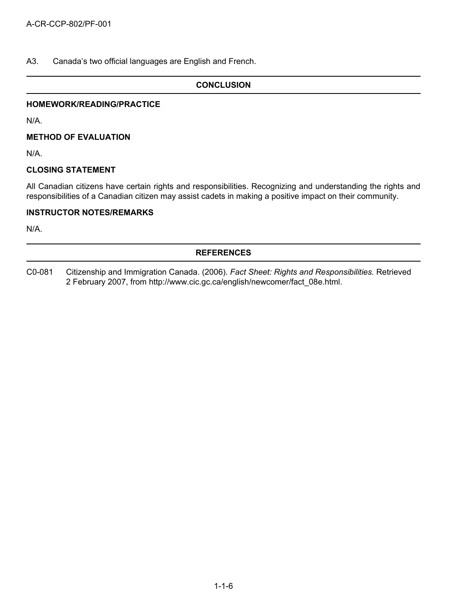A3. Canada's two official languages are English and French.

# **CONCLUSION**

# HOMEWORK/READING/PRACTICE

N/A.

# METHOD OF EVALUATION

N/A.

# CLOSING STATEMENT

All Canadian citizens have certain rights and responsibilities. Recognizing and understanding the rights and responsibilities of a Canadian citizen may assist cadets in making a positive impact on their community.

# INSTRUCTOR NOTES/REMARKS

N/A.

# REFERENCES

C0-081 Citizenship and Immigration Canada. (2006). Fact Sheet: Rights and Responsibilities. Retrieved 2 February 2007, from http://www.cic.gc.ca/english/newcomer/fact\_08e.html.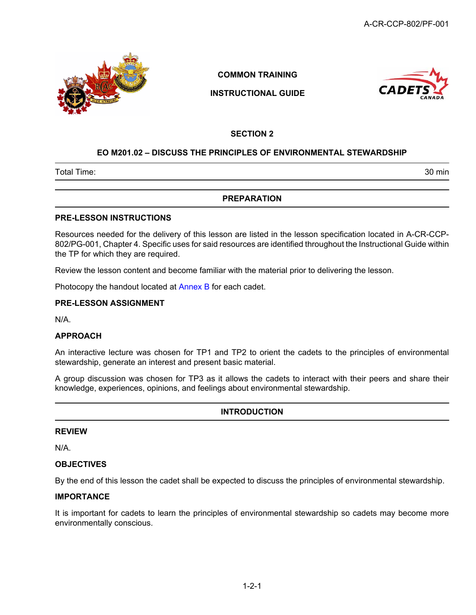

COMMON TRAINING

INSTRUCTIONAL GUIDE



# SECTION 2

## EO M201.02 – DISCUSS THE PRINCIPLES OF ENVIRONMENTAL STEWARDSHIP

Total Time: 30 min

## PREPARATION

#### PRE-LESSON INSTRUCTIONS

Resources needed for the delivery of this lesson are listed in the lesson specification located in A-CR-CCP-802/PG-001, Chapter 4. Specific uses for said resources are identified throughout the Instructional Guide within the TP for which they are required.

Review the lesson content and become familiar with the material prior to delivering the lesson.

Photocopy the handout located at Annex B for each cadet.

#### PRE-LESSON ASSIGNMENT

N/A.

#### APPROACH

An interactive lecture was chosen for TP1 and TP2 to orient the cadets to the principles of environmental stewardship, generate an interest and present basic material.

A group discussion was chosen for TP3 as it allows the cadets to interact with their peers and share their knowledge, experiences, opinions, and feelings about environmental stewardship.

# INTRODUCTION

#### REVIEW

N/A.

# **OBJECTIVES**

By the end of this lesson the cadet shall be expected to discuss the principles of environmental stewardship.

## **IMPORTANCE**

It is important for cadets to learn the principles of environmental stewardship so cadets may become more environmentally conscious.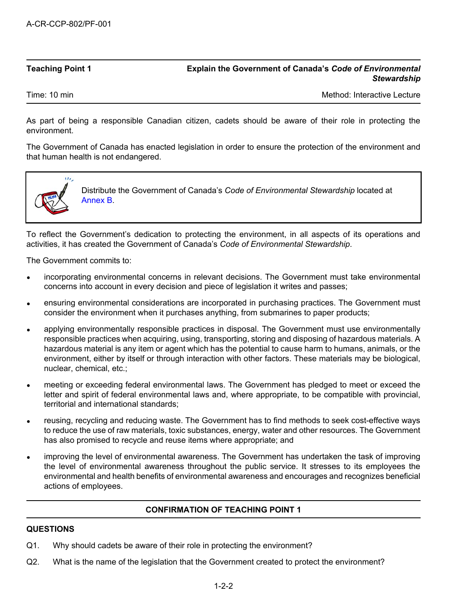# Teaching Point 1 **Explain the Government of Canada's Code of Environmental Stewardship**

Time: 10 min Method: Interactive Lecture Communication of the Method: Interactive Lecture

As part of being a responsible Canadian citizen, cadets should be aware of their role in protecting the environment.

The Government of Canada has enacted legislation in order to ensure the protection of the environment and that human health is not endangered.



Distribute the Government of Canada's Code of Environmental Stewardship located at Annex B.

To reflect the Government's dedication to protecting the environment, in all aspects of its operations and activities, it has created the Government of Canada's Code of Environmental Stewardship.

The Government commits to:

- incorporating environmental concerns in relevant decisions. The Government must take environmental concerns into account in every decision and piece of legislation it writes and passes;
- ensuring environmental considerations are incorporated in purchasing practices. The Government must consider the environment when it purchases anything, from submarines to paper products;
- applying environmentally responsible practices in disposal. The Government must use environmentally responsible practices when acquiring, using, transporting, storing and disposing of hazardous materials. A hazardous material is any item or agent which has the potential to cause harm to humans, animals, or the environment, either by itself or through interaction with other factors. These materials may be biological, nuclear, chemical, etc.;
- meeting or exceeding federal environmental laws. The Government has pledged to meet or exceed the letter and spirit of federal environmental laws and, where appropriate, to be compatible with provincial, territorial and international standards;
- reusing, recycling and reducing waste. The Government has to find methods to seek cost-effective ways  $\bullet$ to reduce the use of raw materials, toxic substances, energy, water and other resources. The Government has also promised to recycle and reuse items where appropriate; and
- improving the level of environmental awareness. The Government has undertaken the task of improving the level of environmental awareness throughout the public service. It stresses to its employees the environmental and health benefits of environmental awareness and encourages and recognizes beneficial actions of employees.

# CONFIRMATION OF TEACHING POINT 1

# **QUESTIONS**

- Q1. Why should cadets be aware of their role in protecting the environment?
- Q2. What is the name of the legislation that the Government created to protect the environment?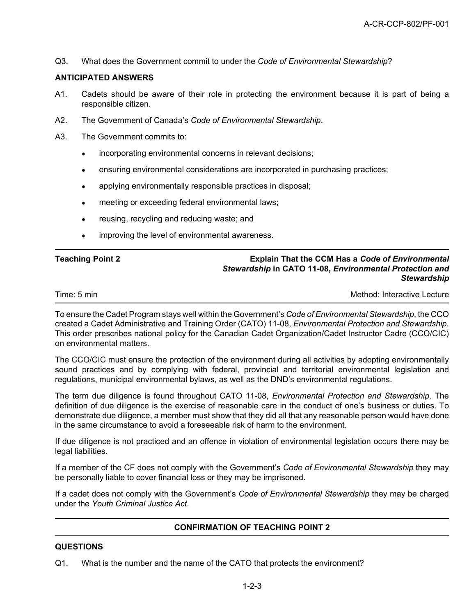Q3. What does the Government commit to under the Code of Environmental Stewardship?

# ANTICIPATED ANSWERS

- A1. Cadets should be aware of their role in protecting the environment because it is part of being a responsible citizen.
- A2. The Government of Canada's Code of Environmental Stewardship.
- A3. The Government commits to:
	- incorporating environmental concerns in relevant decisions;  $\bullet$
	- ensuring environmental considerations are incorporated in purchasing practices;  $\bullet$
	- $\bullet$ applying environmentally responsible practices in disposal;
	- meeting or exceeding federal environmental laws;  $\bullet$
	- reusing, recycling and reducing waste; and  $\bullet$
	- improving the level of environmental awareness.

# Teaching Point 2 Explain That the CCM Has a Code of Environmental Stewardship in CATO 11-08, Environmental Protection and **Stewardship**

Time: 5 min Method: Interactive Lecture Communication of the Method: Interactive Lecture

To ensure the Cadet Program stays well within the Government's Code of Environmental Stewardship, the CCO created a Cadet Administrative and Training Order (CATO) 11-08, Environmental Protection and Stewardship. This order prescribes national policy for the Canadian Cadet Organization/Cadet Instructor Cadre (CCO/CIC) on environmental matters.

The CCO/CIC must ensure the protection of the environment during all activities by adopting environmentally sound practices and by complying with federal, provincial and territorial environmental legislation and regulations, municipal environmental bylaws, as well as the DND's environmental regulations.

The term due diligence is found throughout CATO 11-08, Environmental Protection and Stewardship. The definition of due diligence is the exercise of reasonable care in the conduct of one's business or duties. To demonstrate due diligence, a member must show that they did all that any reasonable person would have done in the same circumstance to avoid a foreseeable risk of harm to the environment.

If due diligence is not practiced and an offence in violation of environmental legislation occurs there may be legal liabilities.

If a member of the CF does not comply with the Government's Code of Environmental Stewardship they may be personally liable to cover financial loss or they may be imprisoned.

If a cadet does not comply with the Government's Code of Environmental Stewardship they may be charged under the Youth Criminal Justice Act.

# CONFIRMATION OF TEACHING POINT 2

# QUESTIONS

Q1. What is the number and the name of the CATO that protects the environment?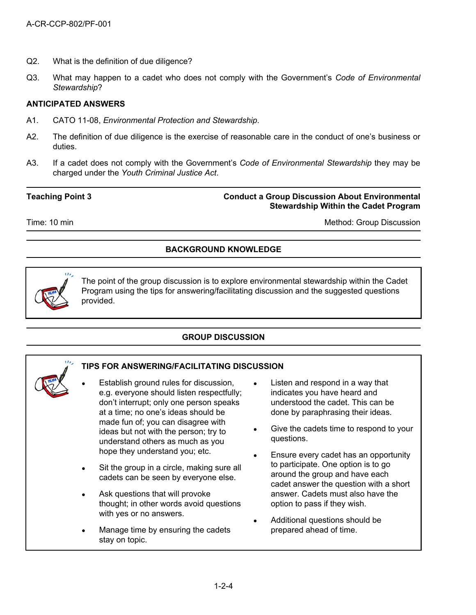- Q2. What is the definition of due diligence?
- Q3. What may happen to a cadet who does not comply with the Government's Code of Environmental Stewardship?

## ANTICIPATED ANSWERS

- A1. CATO 11-08, Environmental Protection and Stewardship.
- A2. The definition of due diligence is the exercise of reasonable care in the conduct of one's business or duties.
- A3. If a cadet does not comply with the Government's Code of Environmental Stewardship they may be charged under the Youth Criminal Justice Act.

# Teaching Point 3 Conduct a Group Discussion About Environmental Stewardship Within the Cadet Program

Time: 10 min Method: Group Discussion Method: Group Discussion

# BACKGROUND KNOWLEDGE



The point of the group discussion is to explore environmental stewardship within the Cadet Program using the tips for answering/facilitating discussion and the suggested questions provided.

# GROUP DISCUSSION

# TIPS FOR ANSWERING/FACILITATING DISCUSSION

- Establish ground rules for discussion, e.g. everyone should listen respectfully; don't interrupt; only one person speaks at a time; no one's ideas should be made fun of; you can disagree with ideas but not with the person; try to understand others as much as you hope they understand you; etc.
- Sit the group in a circle, making sure all cadets can be seen by everyone else.
- Ask questions that will provoke thought; in other words avoid questions with yes or no answers.
- Manage time by ensuring the cadets stay on topic.
- Listen and respond in a way that indicates you have heard and understood the cadet. This can be done by paraphrasing their ideas.
- Give the cadets time to respond to your questions.
- Ensure every cadet has an opportunity to participate. One option is to go around the group and have each cadet answer the question with a short answer. Cadets must also have the option to pass if they wish.
- Additional questions should be prepared ahead of time.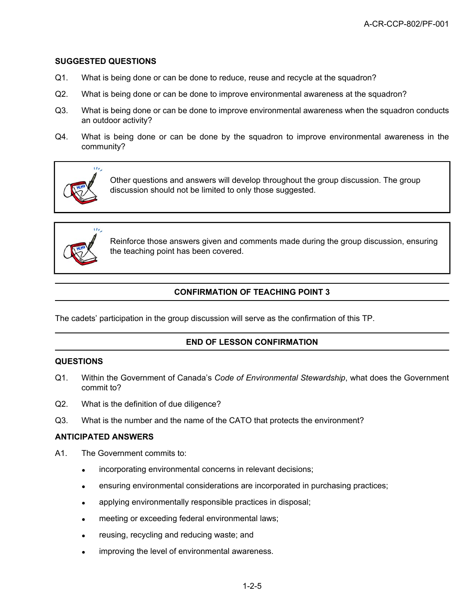# SUGGESTED QUESTIONS

- Q1. What is being done or can be done to reduce, reuse and recycle at the squadron?
- Q2. What is being done or can be done to improve environmental awareness at the squadron?
- Q3. What is being done or can be done to improve environmental awareness when the squadron conducts an outdoor activity?
- Q4. What is being done or can be done by the squadron to improve environmental awareness in the community?



Other questions and answers will develop throughout the group discussion. The group discussion should not be limited to only those suggested.



Reinforce those answers given and comments made during the group discussion, ensuring the teaching point has been covered.

# CONFIRMATION OF TEACHING POINT 3

The cadets' participation in the group discussion will serve as the confirmation of this TP.

# END OF LESSON CONFIRMATION

#### QUESTIONS

- Q1. Within the Government of Canada's Code of Environmental Stewardship, what does the Government commit to?
- Q2. What is the definition of due diligence?
- Q3. What is the number and the name of the CATO that protects the environment?

## ANTICIPATED ANSWERS

- A1. The Government commits to:
	- incorporating environmental concerns in relevant decisions;  $\bullet$
	- ensuring environmental considerations are incorporated in purchasing practices;  $\bullet$
	- applying environmentally responsible practices in disposal;
	- meeting or exceeding federal environmental laws;
	- reusing, recycling and reducing waste; and
	- improving the level of environmental awareness.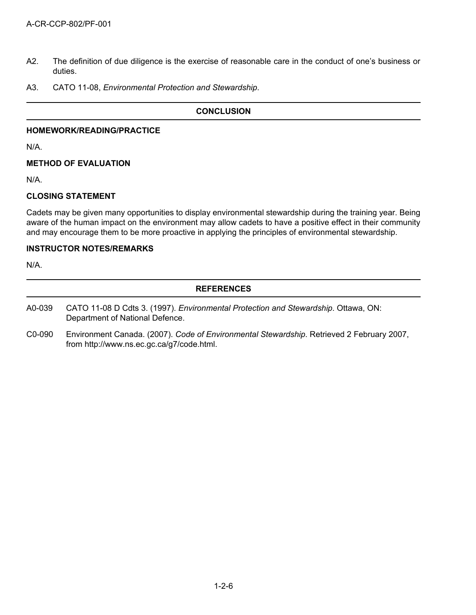- A2. The definition of due diligence is the exercise of reasonable care in the conduct of one's business or duties.
- A3. CATO 11-08, Environmental Protection and Stewardship.

# **CONCLUSION**

# HOMEWORK/READING/PRACTICE

N/A.

# METHOD OF EVALUATION

N/A.

# CLOSING STATEMENT

Cadets may be given many opportunities to display environmental stewardship during the training year. Being aware of the human impact on the environment may allow cadets to have a positive effect in their community and may encourage them to be more proactive in applying the principles of environmental stewardship.

# INSTRUCTOR NOTES/REMARKS

N/A.

# REFERENCES

A0-039 CATO 11-08 D Cdts 3. (1997). Environmental Protection and Stewardship. Ottawa, ON: Department of National Defence.

C0-090 Environment Canada. (2007). Code of Environmental Stewardship. Retrieved 2 February 2007, from http://www.ns.ec.gc.ca/g7/code.html.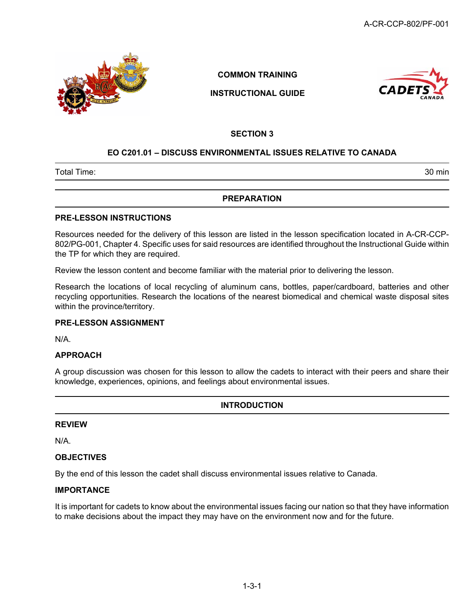

COMMON TRAINING

INSTRUCTIONAL GUIDE



# SECTION 3

## EO C201.01 – DISCUSS ENVIRONMENTAL ISSUES RELATIVE TO CANADA

Total Time: 30 min

## PREPARATION

#### PRE-LESSON INSTRUCTIONS

Resources needed for the delivery of this lesson are listed in the lesson specification located in A-CR-CCP-802/PG-001, Chapter 4. Specific uses for said resources are identified throughout the Instructional Guide within the TP for which they are required.

Review the lesson content and become familiar with the material prior to delivering the lesson.

Research the locations of local recycling of aluminum cans, bottles, paper/cardboard, batteries and other recycling opportunities. Research the locations of the nearest biomedical and chemical waste disposal sites within the province/territory.

#### PRE-LESSON ASSIGNMENT

N/A.

## APPROACH

A group discussion was chosen for this lesson to allow the cadets to interact with their peers and share their knowledge, experiences, opinions, and feelings about environmental issues.

# INTRODUCTION

#### REVIEW

N/A.

## **OBJECTIVES**

By the end of this lesson the cadet shall discuss environmental issues relative to Canada.

#### **IMPORTANCE**

It is important for cadets to know about the environmental issues facing our nation so that they have information to make decisions about the impact they may have on the environment now and for the future.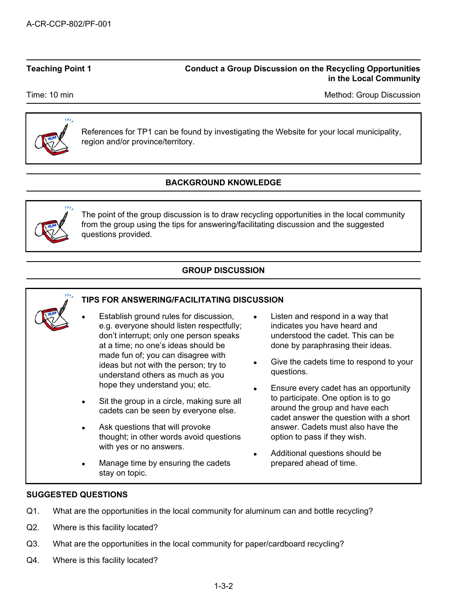# Teaching Point 1 Conduct a Group Discussion on the Recycling Opportunities in the Local Community

Time: 10 min Method: Group Discussion Nethod: Group Discussion



References for TP1 can be found by investigating the Website for your local municipality, region and/or province/territory.

# BACKGROUND KNOWLEDGE



The point of the group discussion is to draw recycling opportunities in the local community from the group using the tips for answering/facilitating discussion and the suggested questions provided.

# GROUP DISCUSSION



# TIPS FOR ANSWERING/FACILITATING DISCUSSION

- Establish ground rules for discussion, e.g. everyone should listen respectfully; don't interrupt; only one person speaks at a time; no one's ideas should be made fun of; you can disagree with ideas but not with the person; try to understand others as much as you hope they understand you; etc.
- Sit the group in a circle, making sure all cadets can be seen by everyone else.
- Ask questions that will provoke thought; in other words avoid questions with yes or no answers.
- Manage time by ensuring the cadets stay on topic.
- Listen and respond in a way that  $\bullet$ indicates you have heard and understood the cadet. This can be done by paraphrasing their ideas.
- Give the cadets time to respond to your questions.
- Ensure every cadet has an opportunity to participate. One option is to go around the group and have each cadet answer the question with a short answer. Cadets must also have the option to pass if they wish.
- Additional questions should be prepared ahead of time.

# SUGGESTED QUESTIONS

- Q1. What are the opportunities in the local community for aluminum can and bottle recycling?
- Q2. Where is this facility located?
- Q3. What are the opportunities in the local community for paper/cardboard recycling?
- Q4. Where is this facility located?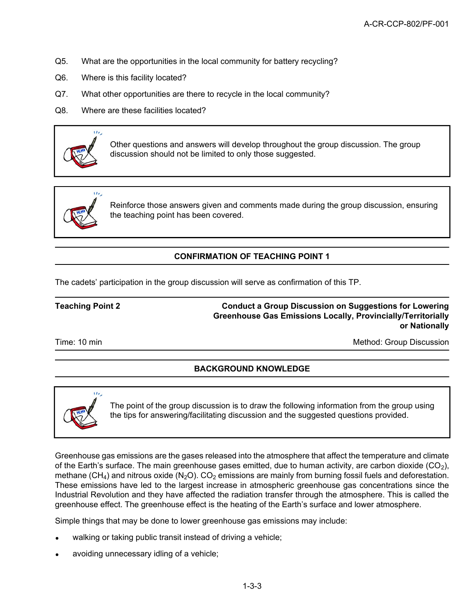- Q5. What are the opportunities in the local community for battery recycling?
- Q6. Where is this facility located?
- Q7. What other opportunities are there to recycle in the local community?
- Q8. Where are these facilities located?



Other questions and answers will develop throughout the group discussion. The group discussion should not be limited to only those suggested.



Reinforce those answers given and comments made during the group discussion, ensuring the teaching point has been covered.

# CONFIRMATION OF TEACHING POINT 1

The cadets' participation in the group discussion will serve as confirmation of this TP.

Teaching Point 2 Conduct a Group Discussion on Suggestions for Lowering Greenhouse Gas Emissions Locally, Provincially/Territorially or Nationally

Time: 10 min Method: Group Discussion Method: Group Discussion

# BACKGROUND KNOWLEDGE



The point of the group discussion is to draw the following information from the group using the tips for answering/facilitating discussion and the suggested questions provided.

Greenhouse gas emissions are the gases released into the atmosphere that affect the temperature and climate of the Earth's surface. The main greenhouse gases emitted, due to human activity, are carbon dioxide ( $CO<sub>2</sub>$ ), methane (CH<sub>4</sub>) and nitrous oxide (N<sub>2</sub>O). CO<sub>2</sub> emissions are mainly from burning fossil fuels and deforestation. These emissions have led to the largest increase in atmospheric greenhouse gas concentrations since the Industrial Revolution and they have affected the radiation transfer through the atmosphere. This is called the greenhouse effect. The greenhouse effect is the heating of the Earth's surface and lower atmosphere.

Simple things that may be done to lower greenhouse gas emissions may include:

- walking or taking public transit instead of driving a vehicle;
- avoiding unnecessary idling of a vehicle;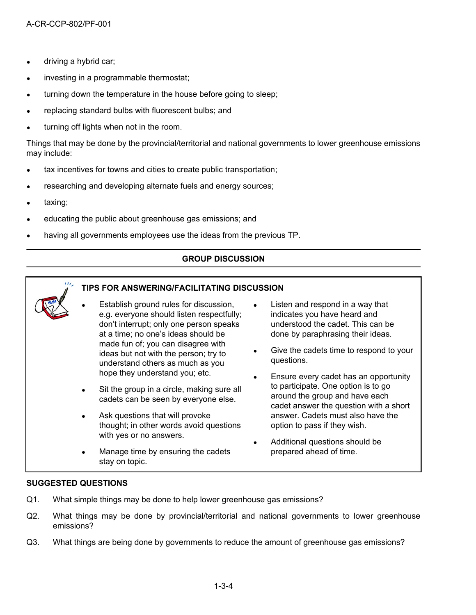- driving a hybrid car;  $\bullet$
- investing in a programmable thermostat;
- turning down the temperature in the house before going to sleep;
- replacing standard bulbs with fluorescent bulbs; and
- turning off lights when not in the room.

Things that may be done by the provincial/territorial and national governments to lower greenhouse emissions may include:

- tax incentives for towns and cities to create public transportation;
- researching and developing alternate fuels and energy sources;
- taxing;
- educating the public about greenhouse gas emissions; and
- having all governments employees use the ideas from the previous TP.

# GROUP DISCUSSION

# TIPS FOR ANSWERING/FACILITATING DISCUSSION

- Establish ground rules for discussion, e.g. everyone should listen respectfully; don't interrupt; only one person speaks at a time; no one's ideas should be made fun of; you can disagree with ideas but not with the person; try to understand others as much as you hope they understand you; etc.
- Sit the group in a circle, making sure all  $\bullet$ cadets can be seen by everyone else.
- Ask questions that will provoke thought; in other words avoid questions with yes or no answers.
- Manage time by ensuring the cadets stay on topic.
- Listen and respond in a way that indicates you have heard and understood the cadet. This can be done by paraphrasing their ideas.
- Give the cadets time to respond to your questions.
- Ensure every cadet has an opportunity to participate. One option is to go around the group and have each cadet answer the question with a short answer. Cadets must also have the option to pass if they wish.
- Additional questions should be prepared ahead of time.

# SUGGESTED QUESTIONS

- Q1. What simple things may be done to help lower greenhouse gas emissions?
- Q2. What things may be done by provincial/territorial and national governments to lower greenhouse emissions?
- Q3. What things are being done by governments to reduce the amount of greenhouse gas emissions?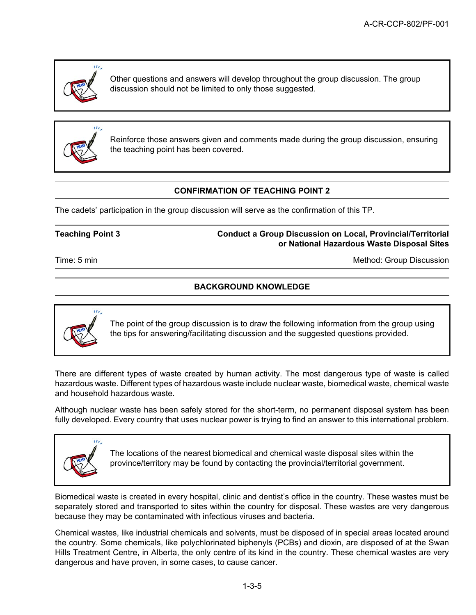

Other questions and answers will develop throughout the group discussion. The group discussion should not be limited to only those suggested.



Reinforce those answers given and comments made during the group discussion, ensuring the teaching point has been covered.

# CONFIRMATION OF TEACHING POINT 2

The cadets' participation in the group discussion will serve as the confirmation of this TP.

# Teaching Point 3 Conduct a Group Discussion on Local, Provincial/Territorial or National Hazardous Waste Disposal Sites

Time: 5 min Method: Group Discussion and Method: Group Discussion

# BACKGROUND KNOWLEDGE



The point of the group discussion is to draw the following information from the group using the tips for answering/facilitating discussion and the suggested questions provided.

There are different types of waste created by human activity. The most dangerous type of waste is called hazardous waste. Different types of hazardous waste include nuclear waste, biomedical waste, chemical waste and household hazardous waste.

Although nuclear waste has been safely stored for the short-term, no permanent disposal system has been fully developed. Every country that uses nuclear power is trying to find an answer to this international problem.



The locations of the nearest biomedical and chemical waste disposal sites within the province/territory may be found by contacting the provincial/territorial government.

Biomedical waste is created in every hospital, clinic and dentist's office in the country. These wastes must be separately stored and transported to sites within the country for disposal. These wastes are very dangerous because they may be contaminated with infectious viruses and bacteria.

Chemical wastes, like industrial chemicals and solvents, must be disposed of in special areas located around the country. Some chemicals, like polychlorinated biphenyls (PCBs) and dioxin, are disposed of at the Swan Hills Treatment Centre, in Alberta, the only centre of its kind in the country. These chemical wastes are very dangerous and have proven, in some cases, to cause cancer.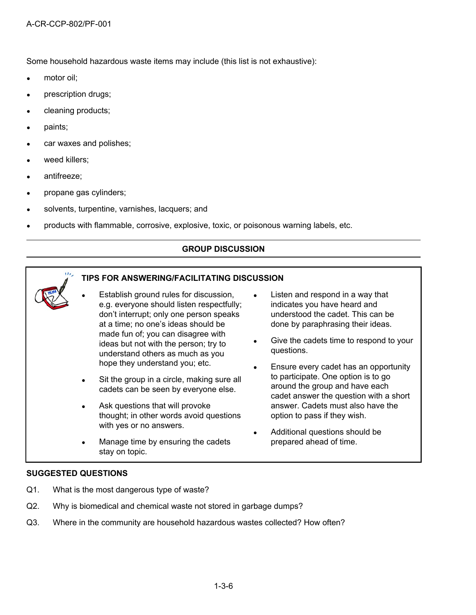Some household hazardous waste items may include (this list is not exhaustive):

- motor oil;
- prescription drugs;
- cleaning products;
- paints;
- car waxes and polishes;
- weed killers;
- antifreeze;
- propane gas cylinders;
- solvents, turpentine, varnishes, lacquers; and
- products with flammable, corrosive, explosive, toxic, or poisonous warning labels, etc.

# GROUP DISCUSSION



- Establish ground rules for discussion, e.g. everyone should listen respectfully; don't interrupt; only one person speaks at a time; no one's ideas should be made fun of; you can disagree with ideas but not with the person; try to understand others as much as you hope they understand you; etc.
- Sit the group in a circle, making sure all  $\bullet$ cadets can be seen by everyone else.
- Ask questions that will provoke  $\bullet$ thought; in other words avoid questions with yes or no answers.
- Manage time by ensuring the cadets stay on topic.
- Listen and respond in a way that indicates you have heard and understood the cadet. This can be done by paraphrasing their ideas.
- Give the cadets time to respond to your  $\bullet$ questions.
- Ensure every cadet has an opportunity to participate. One option is to go around the group and have each cadet answer the question with a short answer. Cadets must also have the option to pass if they wish.
- Additional questions should be prepared ahead of time.

# SUGGESTED QUESTIONS

- Q1. What is the most dangerous type of waste?
- Q2. Why is biomedical and chemical waste not stored in garbage dumps?
- Q3. Where in the community are household hazardous wastes collected? How often?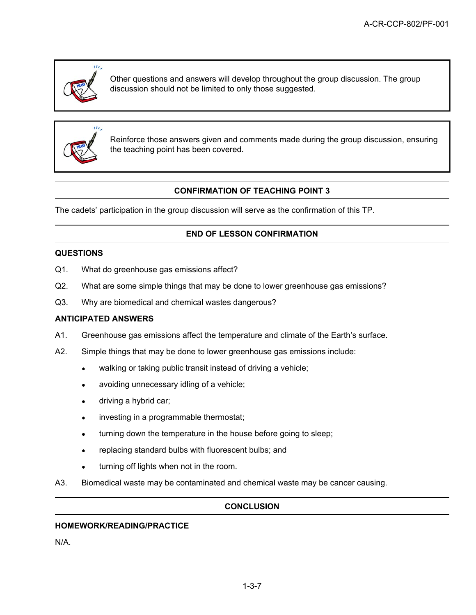

Other questions and answers will develop throughout the group discussion. The group discussion should not be limited to only those suggested.



Reinforce those answers given and comments made during the group discussion, ensuring the teaching point has been covered.

# CONFIRMATION OF TEACHING POINT 3

The cadets' participation in the group discussion will serve as the confirmation of this TP.

# END OF LESSON CONFIRMATION

## **QUESTIONS**

- Q1. What do greenhouse gas emissions affect?
- Q2. What are some simple things that may be done to lower greenhouse gas emissions?
- Q3. Why are biomedical and chemical wastes dangerous?

# ANTICIPATED ANSWERS

- A1. Greenhouse gas emissions affect the temperature and climate of the Earth's surface.
- A2. Simple things that may be done to lower greenhouse gas emissions include:
	- walking or taking public transit instead of driving a vehicle;  $\bullet$
	- avoiding unnecessary idling of a vehicle;  $\bullet$
	- driving a hybrid car;  $\bullet$
	- investing in a programmable thermostat;  $\bullet$
	- turning down the temperature in the house before going to sleep;  $\bullet$
	- replacing standard bulbs with fluorescent bulbs; and  $\bullet$
	- turning off lights when not in the room.  $\bullet$
- A3. Biomedical waste may be contaminated and chemical waste may be cancer causing.

# **CONCLUSION**

# HOMEWORK/READING/PRACTICE

N/A.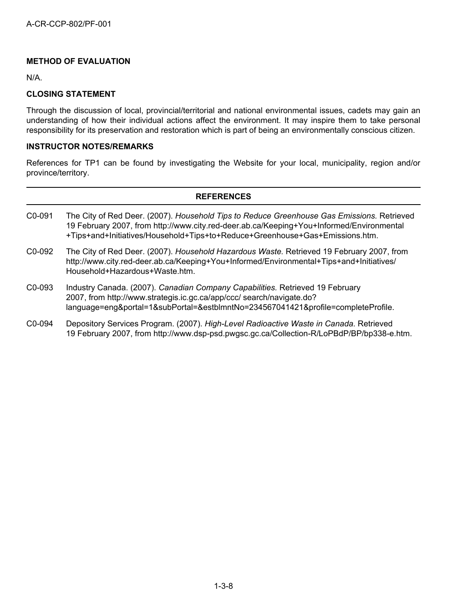# METHOD OF EVALUATION

N/A.

# CLOSING STATEMENT

Through the discussion of local, provincial/territorial and national environmental issues, cadets may gain an understanding of how their individual actions affect the environment. It may inspire them to take personal responsibility for its preservation and restoration which is part of being an environmentally conscious citizen.

# INSTRUCTOR NOTES/REMARKS

References for TP1 can be found by investigating the Website for your local, municipality, region and/or province/territory.

# **REFERENCES**

- C0-091 The City of Red Deer. (2007). Household Tips to Reduce Greenhouse Gas Emissions. Retrieved 19 February 2007, from http://www.city.red-deer.ab.ca/Keeping+You+Informed/Environmental +Tips+and+Initiatives/Household+Tips+to+Reduce+Greenhouse+Gas+Emissions.htm.
- C0-092 The City of Red Deer. (2007). Household Hazardous Waste. Retrieved 19 February 2007, from http://www.city.red-deer.ab.ca/Keeping+You+Informed/Environmental+Tips+and+Initiatives/ Household+Hazardous+Waste.htm.
- C0-093 Industry Canada. (2007). Canadian Company Capabilities. Retrieved 19 February 2007, from http://www.strategis.ic.gc.ca/app/ccc/ search/navigate.do? language=eng&portal=1&subPortal=&estblmntNo=234567041421&profile=completeProfile.
- C0-094 Depository Services Program. (2007). High-Level Radioactive Waste in Canada. Retrieved 19 February 2007, from http://www.dsp-psd.pwgsc.gc.ca/Collection-R/LoPBdP/BP/bp338-e.htm.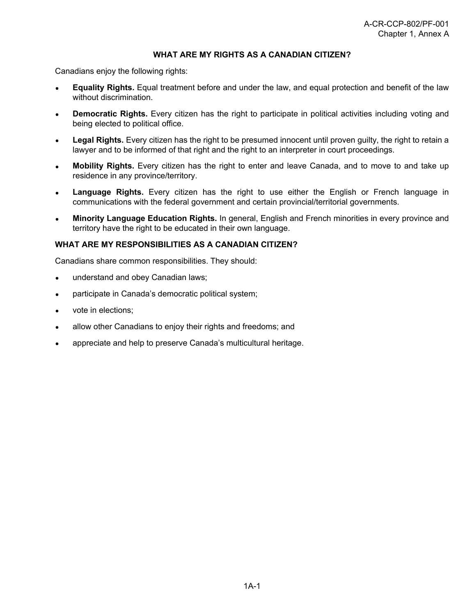# WHAT ARE MY RIGHTS AS A CANADIAN CITIZEN?

Canadians enjoy the following rights:

- Equality Rights. Equal treatment before and under the law, and equal protection and benefit of the law without discrimination.
- **Democratic Rights.** Every citizen has the right to participate in political activities including voting and being elected to political office.
- Legal Rights. Every citizen has the right to be presumed innocent until proven guilty, the right to retain a lawyer and to be informed of that right and the right to an interpreter in court proceedings.
- Mobility Rights. Every citizen has the right to enter and leave Canada, and to move to and take up residence in any province/territory.
- Language Rights. Every citizen has the right to use either the English or French language in communications with the federal government and certain provincial/territorial governments.
- Minority Language Education Rights. In general, English and French minorities in every province and territory have the right to be educated in their own language.

# WHAT ARE MY RESPONSIBILITIES AS A CANADIAN CITIZEN?

Canadians share common responsibilities. They should:

- understand and obey Canadian laws;  $\bullet$
- participate in Canada's democratic political system;  $\bullet$
- vote in elections;  $\bullet$
- allow other Canadians to enjoy their rights and freedoms; and  $\bullet$
- appreciate and help to preserve Canada's multicultural heritage. $\bullet$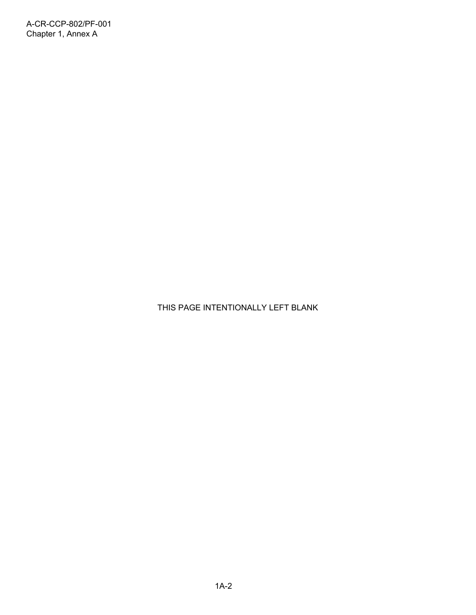THIS PAGE INTENTIONALLY LEFT BLANK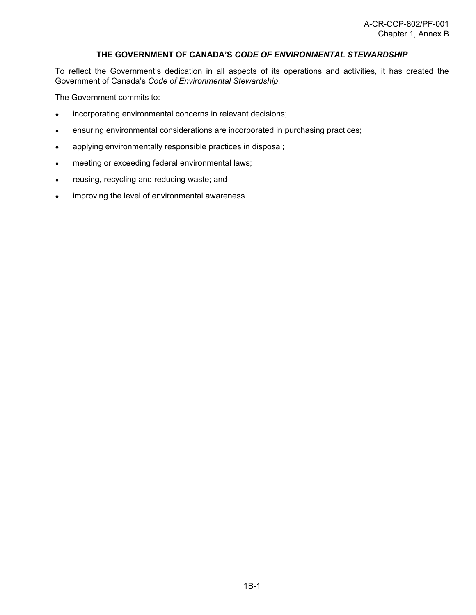# THE GOVERNMENT OF CANADA'S CODE OF ENVIRONMENTAL STEWARDSHIP

To reflect the Government's dedication in all aspects of its operations and activities, it has created the Government of Canada's Code of Environmental Stewardship.

The Government commits to:

- incorporating environmental concerns in relevant decisions;  $\bullet$
- ensuring environmental considerations are incorporated in purchasing practices;
- applying environmentally responsible practices in disposal;
- meeting or exceeding federal environmental laws;  $\bullet$
- reusing, recycling and reducing waste; and
- improving the level of environmental awareness. $\bullet$